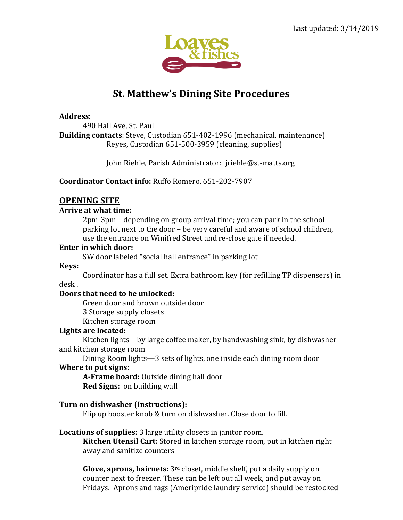

# **St. Matthew's Dining Site Procedures**

#### **Address**:

490 Hall Ave, St. Paul **Building contacts**: Steve, Custodian 651-402-1996 (mechanical, maintenance) Reyes, Custodian 651-500-3959 (cleaning, supplies)

John Riehle, Parish Administrator: jriehle@st-matts.org

**Coordinator Contact info:** Ruffo Romero, 651-202-7907

# **OPENING SITE**

## **Arrive at what time:**

2pm-3pm – depending on group arrival time; you can park in the school parking lot next to the door – be very careful and aware of school children, use the entrance on Winifred Street and re-close gate if needed.

#### **Enter in which door:**

SW door labeled "social hall entrance" in parking lot

## **Keys:**

Coordinator has a full set. Extra bathroom key (for refilling TP dispensers) in desk .

## **Doors that need to be unlocked:**

Green door and brown outside door 3 Storage supply closets Kitchen storage room

## **Lights are located:**

Kitchen lights—by large coffee maker, by handwashing sink, by dishwasher and kitchen storage room

Dining Room lights—3 sets of lights, one inside each dining room door **Where to put signs:**

**A-Frame board:** Outside dining hall door **Red Signs:** on building wall

# **Turn on dishwasher (Instructions):**

Flip up booster knob & turn on dishwasher. Close door to fill.

## **Locations of supplies:** 3 large utility closets in janitor room.

**Kitchen Utensil Cart:** Stored in kitchen storage room, put in kitchen right away and sanitize counters

**Glove, aprons, hairnets:** 3rd closet, middle shelf, put a daily supply on counter next to freezer. These can be left out all week, and put away on Fridays. Aprons and rags (Ameripride laundry service) should be restocked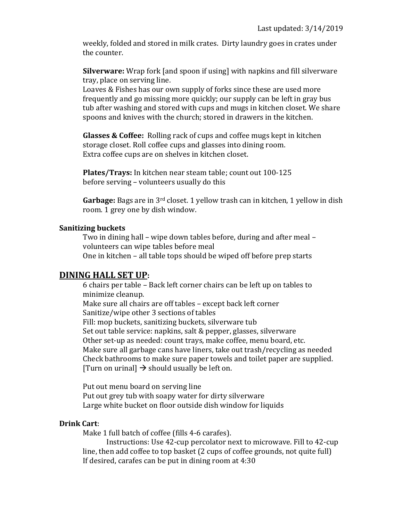weekly, folded and stored in milk crates. Dirty laundry goes in crates under the counter.

**Silverware:** Wrap fork [and spoon if using] with napkins and fill silverware tray, place on serving line.

Loaves & Fishes has our own supply of forks since these are used more frequently and go missing more quickly; our supply can be left in gray bus tub after washing and stored with cups and mugs in kitchen closet. We share spoons and knives with the church; stored in drawers in the kitchen.

**Glasses & Coffee:** Rolling rack of cups and coffee mugs kept in kitchen storage closet. Roll coffee cups and glasses into dining room. Extra coffee cups are on shelves in kitchen closet.

**Plates/Trays:** In kitchen near steam table; count out 100-125 before serving – volunteers usually do this

**Garbage:** Bags are in 3rd closet. 1 yellow trash can in kitchen, 1 yellow in dish room. 1 grey one by dish window.

#### **Sanitizing buckets**

Two in dining hall – wipe down tables before, during and after meal – volunteers can wipe tables before meal One in kitchen – all table tops should be wiped off before prep starts

# **DINING HALL SET UP:**

6 chairs per table – Back left corner chairs can be left up on tables to minimize cleanup. Make sure all chairs are off tables – except back left corner Sanitize/wipe other 3 sections of tables Fill: mop buckets, sanitizing buckets, silverware tub Set out table service: napkins, salt & pepper, glasses, silverware Other set-up as needed: count trays, make coffee, menu board, etc. Make sure all garbage cans have liners, take out trash/recycling as needed Check bathrooms to make sure paper towels and toilet paper are supplied. [Turn on urinal]  $\rightarrow$  should usually be left on.

Put out menu board on serving line Put out grey tub with soapy water for dirty silverware Large white bucket on floor outside dish window for liquids

## **Drink Cart**:

Make 1 full batch of coffee (fills 4-6 carafes).

Instructions: Use 42-cup percolator next to microwave. Fill to 42-cup line, then add coffee to top basket (2 cups of coffee grounds, not quite full) If desired, carafes can be put in dining room at 4:30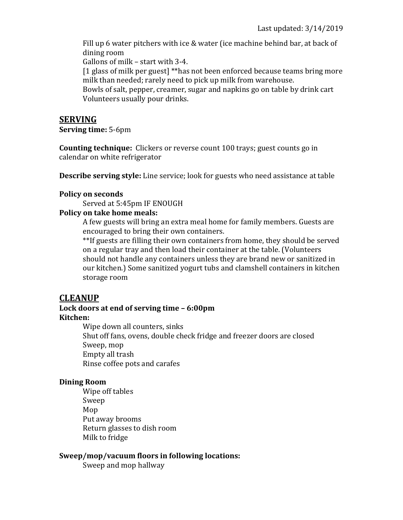Fill up 6 water pitchers with ice & water (ice machine behind bar, at back of dining room

Gallons of milk – start with 3-4.

[1 glass of milk per guest] \*\*has not been enforced because teams bring more milk than needed; rarely need to pick up milk from warehouse.

Bowls of salt, pepper, creamer, sugar and napkins go on table by drink cart Volunteers usually pour drinks.

# **SERVING**

**Serving time:** 5-6pm

**Counting technique:** Clickers or reverse count 100 trays; guest counts go in calendar on white refrigerator

**Describe serving style:** Line service; look for guests who need assistance at table

#### **Policy on seconds**

Served at 5:45pm IF ENOUGH

## **Policy on take home meals:**

A few guests will bring an extra meal home for family members. Guests are encouraged to bring their own containers.

\*\*If guests are filling their own containers from home, they should be served on a regular tray and then load their container at the table. (Volunteers should not handle any containers unless they are brand new or sanitized in our kitchen.) Some sanitized yogurt tubs and clamshell containers in kitchen storage room

# **CLEANUP**

# **Lock doors at end of serving time – 6:00pm Kitchen:**

Wipe down all counters, sinks Shut off fans, ovens, double check fridge and freezer doors are closed Sweep, mop Empty all trash Rinse coffee pots and carafes

## **Dining Room**

Wipe off tables Sweep Mop Put away brooms Return glasses to dish room Milk to fridge

## **Sweep/mop/vacuum floors in following locations:**

Sweep and mop hallway